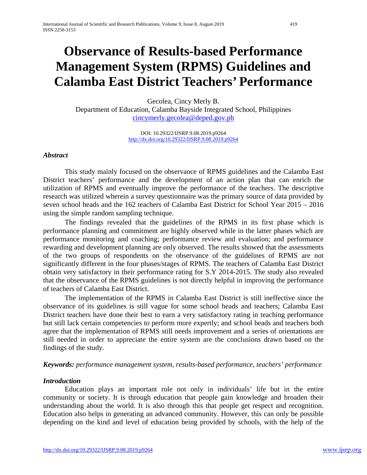# **Observance of Results-based Performance Management System (RPMS) Guidelines and Calamba East District Teachers' Performance**

Gecolea, Cincy Merly B.

Department of Education, Calamba Bayside Integrated School, Philippines [cincymerly.gecolea@deped.gov.ph](mailto:cincymerly.gecolea@deped.gov.ph)

> DOI: 10.29322/IJSRP.9.08.2019.p9264 <http://dx.doi.org/10.29322/IJSRP.9.08.2019.p9264>

#### *Abstract*

This study mainly focused on the observance of RPMS guidelines and the Calamba East District teachers' performance and the development of an action plan that can enrich the utilization of RPMS and eventually improve the performance of the teachers. The descriptive research was utilized wherein a survey questionnaire was the primary source of data provided by seven school heads and the 162 teachers of Calamba East District for School Year 2015 – 2016 using the simple random sampling technique.

The findings revealed that the guidelines of the RPMS in its first phase which is performance planning and commitment are highly observed while in the latter phases which are performance monitoring and coaching; performance review and evaluation; and performance rewarding and development planning are only observed. The results showed that the assessments of the two groups of respondents on the observance of the guidelines of RPMS are not significantly different in the four phases/stages of RPMS. The teachers of Calamba East District obtain very satisfactory in their performance rating for S.Y 2014-2015. The study also revealed that the observance of the RPMS guidelines is not directly helpful in improving the performance of teachers of Calamba East District.

The implementation of the RPMS in Calamba East District is still ineffective since the observance of its guidelines is still vague for some school heads and teachers; Calamba East District teachers have done their best to earn a very satisfactory rating in teaching performance but still lack certain competencies to perform more expertly; and school heads and teachers both agree that the implementation of RPMS still needs improvement and a series of orientations are still needed in order to appreciate the entire system are the conclusions drawn based on the findings of the study.

#### *Keywords: performance management system, results-based performance, teachers' performance*

#### *Introduction*

Education plays an important role not only in individuals' life but in the entire community or society. It is through education that people gain knowledge and broaden their understanding about the world. It is also through this that people get respect and recognition. Education also helps in generating an advanced community. However, this can only be possible depending on the kind and level of education being provided by schools, with the help of the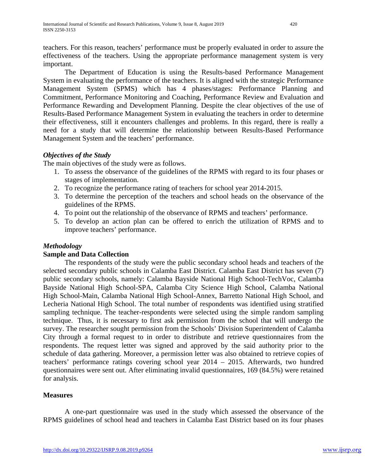teachers. For this reason, teachers' performance must be properly evaluated in order to assure the effectiveness of the teachers. Using the appropriate performance management system is very important.

The Department of Education is using the Results-based Performance Management System in evaluating the performance of the teachers. It is aligned with the strategic Performance Management System (SPMS) which has 4 phases/stages: Performance Planning and Commitment, Performance Monitoring and Coaching, Performance Review and Evaluation and Performance Rewarding and Development Planning. Despite the clear objectives of the use of Results-Based Performance Management System in evaluating the teachers in order to determine their effectiveness, still it encounters challenges and problems. In this regard, there is really a need for a study that will determine the relationship between Results-Based Performance Management System and the teachers' performance.

# *Objectives of the Study*

The main objectives of the study were as follows.

- 1. To assess the observance of the guidelines of the RPMS with regard to its four phases or stages of implementation.
- 2. To recognize the performance rating of teachers for school year 2014-2015.
- 3. To determine the perception of the teachers and school heads on the observance of the guidelines of the RPMS.
- 4. To point out the relationship of the observance of RPMS and teachers' performance.
- 5. To develop an action plan can be offered to enrich the utilization of RPMS and to improve teachers' performance.

# *Methodology*

# **Sample and Data Collection**

The respondents of the study were the public secondary school heads and teachers of the selected secondary public schools in Calamba East District. Calamba East District has seven (7) public secondary schools, namely: Calamba Bayside National High School-TechVoc, Calamba Bayside National High School-SPA, Calamba City Science High School, Calamba National High School-Main, Calamba National High School-Annex, Barretto National High School, and Lecheria National High School. The total number of respondents was identified using stratified sampling technique. The teacher-respondents were selected using the simple random sampling technique. Thus, it is necessary to first ask permission from the school that will undergo the survey. The researcher sought permission from the Schools' Division Superintendent of Calamba City through a formal request to in order to distribute and retrieve questionnaires from the respondents. The request letter was signed and approved by the said authority prior to the schedule of data gathering. Moreover, a permission letter was also obtained to retrieve copies of teachers' performance ratings covering school year 2014 – 2015. Afterwards, two hundred questionnaires were sent out. After eliminating invalid questionnaires, 169 (84.5%) were retained for analysis.

## **Measures**

A one-part questionnaire was used in the study which assessed the observance of the RPMS guidelines of school head and teachers in Calamba East District based on its four phases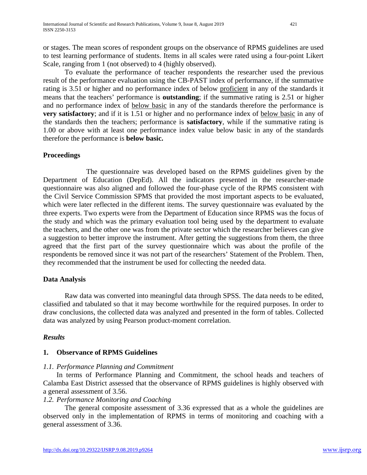or stages. The mean scores of respondent groups on the observance of RPMS guidelines are used to test learning performance of students. Items in all scales were rated using a four-point Likert Scale, ranging from 1 (not observed) to 4 (highly observed).

To evaluate the performance of teacher respondents the researcher used the previous result of the performance evaluation using the CB-PAST index of performance, if the summative rating is 3.51 or higher and no performance index of below proficient in any of the standards it means that the teachers' performance is **outstanding**; if the summative rating is 2.51 or higher and no performance index of below basic in any of the standards therefore the performance is **very satisfactory**; and if it is 1.51 or higher and no performance index of **below** basic in any of the standards then the teachers; performance is **satisfactory**, while if the summative rating is 1.00 or above with at least one performance index value below basic in any of the standards therefore the performance is **below basic.** 

## **Proceedings**

The questionnaire was developed based on the RPMS guidelines given by the Department of Education (DepEd). All the indicators presented in the researcher-made questionnaire was also aligned and followed the four-phase cycle of the RPMS consistent with the Civil Service Commission SPMS that provided the most important aspects to be evaluated, which were later reflected in the different items. The survey questionnaire was evaluated by the three experts. Two experts were from the Department of Education since RPMS was the focus of the study and which was the primary evaluation tool being used by the department to evaluate the teachers, and the other one was from the private sector which the researcher believes can give a suggestion to better improve the instrument. After getting the suggestions from them, the three agreed that the first part of the survey questionnaire which was about the profile of the respondents be removed since it was not part of the researchers' Statement of the Problem. Then, they recommended that the instrument be used for collecting the needed data.

## **Data Analysis**

Raw data was converted into meaningful data through SPSS. The data needs to be edited, classified and tabulated so that it may become worthwhile for the required purposes. In order to draw conclusions, the collected data was analyzed and presented in the form of tables. Collected data was analyzed by using Pearson product-moment correlation.

## *Results*

## **1. Observance of RPMS Guidelines**

#### *1.1. Performance Planning and Commitment*

In terms of Performance Planning and Commitment, the school heads and teachers of Calamba East District assessed that the observance of RPMS guidelines is highly observed with a general assessment of 3.56.

## *1.2. Performance Monitoring and Coaching*

The general composite assessment of 3.36 expressed that as a whole the guidelines are observed only in the implementation of RPMS in terms of monitoring and coaching with a general assessment of 3.36.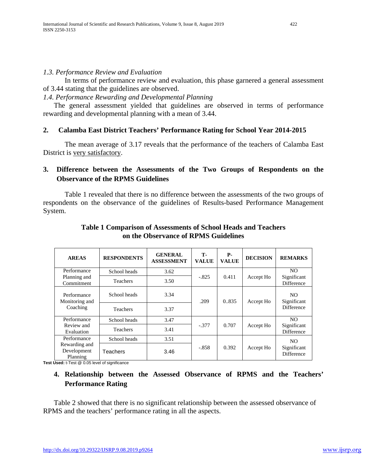#### *1.3. Performance Review and Evaluation*

In terms of performance review and evaluation, this phase garnered a general assessment of 3.44 stating that the guidelines are observed.

*1.4. Performance Rewarding and Developmental Planning*

The general assessment yielded that guidelines are observed in terms of performance rewarding and developmental planning with a mean of 3.44.

## **2. Calamba East District Teachers' Performance Rating for School Year 2014-2015**

The mean average of 3.17 reveals that the performance of the teachers of Calamba East District is very satisfactory.

# **3. Difference between the Assessments of the Two Groups of Respondents on the Observance of the RPMS Guidelines**

Table 1 revealed that there is no difference between the assessments of the two groups of respondents on the observance of the guidelines of Results-based Performance Management System.

| <b>AREAS</b>                              | <b>RESPONDENTS</b> | <b>GENERAL</b><br><b>ASSESSMENT</b> | т.<br><b>VALUE</b> | <b>P</b> -<br><b>VALUE</b> | <b>DECISION</b> | <b>REMARKS</b>                          |
|-------------------------------------------|--------------------|-------------------------------------|--------------------|----------------------------|-----------------|-----------------------------------------|
| Performance<br>Planning and<br>Commitment | School heads       | 3.62                                |                    | 0.411                      | Accept Ho       | N <sub>O</sub>                          |
|                                           | <b>Teachers</b>    | 3.50                                | $-.825$            |                            |                 | Significant<br><b>Difference</b>        |
| Performance<br>Monitoring and<br>Coaching | School heads       | 3.34                                | .209               | 0.835                      | Accept Ho       | NO.<br>Significant<br><b>Difference</b> |
|                                           | <b>Teachers</b>    | 3.37                                |                    |                            |                 |                                         |
| Performance<br>Review and<br>Evaluation   | School heads       | 3.47                                |                    | 0.707                      | Accept Ho       | NO.                                     |
|                                           | <b>Teachers</b>    | 3.41                                | $-.377$            |                            |                 | Significant<br>Difference               |
| Performance                               | School heads       | 3.51                                |                    |                            |                 | N <sub>O</sub>                          |
| Rewarding and<br>Development<br>Planning  | Teachers           | 3.46                                | $-.858$            | 0.392                      | Accept Ho       | Significant<br><b>Difference</b>        |

### **Table 1 Comparison of Assessments of School Heads and Teachers on the Observance of RPMS Guidelines**

**Test Used:** t-Test @ 0.05 level of significance

# **4. Relationship between the Assessed Observance of RPMS and the Teachers' Performance Rating**

Table 2 showed that there is no significant relationship between the assessed observance of RPMS and the teachers' performance rating in all the aspects.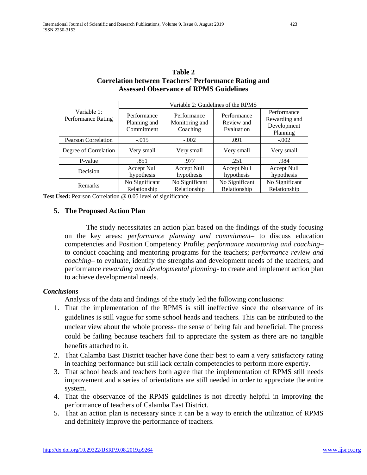| Currelation between reactions in errormance Katting and<br><b>Assessed Observance of RPMS Guidelines</b> |                                           |                                           |                                         |                                                         |  |  |  |  |  |
|----------------------------------------------------------------------------------------------------------|-------------------------------------------|-------------------------------------------|-----------------------------------------|---------------------------------------------------------|--|--|--|--|--|
|                                                                                                          | Variable 2: Guidelines of the RPMS        |                                           |                                         |                                                         |  |  |  |  |  |
| Variable 1:<br><b>Performance Rating</b>                                                                 | Performance<br>Planning and<br>Commitment | Performance<br>Monitoring and<br>Coaching | Performance<br>Review and<br>Evaluation | Performance<br>Rewarding and<br>Development<br>Planning |  |  |  |  |  |
| <b>Pearson Correlation</b>                                                                               | $-.015$                                   | $-.002$                                   | .091                                    | $-.002$                                                 |  |  |  |  |  |
| Degree of Correlation                                                                                    | Very small                                | Very small                                | Very small                              | Very small                                              |  |  |  |  |  |
| P-value                                                                                                  | .851                                      | .977                                      | .251                                    | .984                                                    |  |  |  |  |  |
| Decision                                                                                                 | Accept Null<br>hypothesis                 | Accept Null<br>hypothesis                 | Accept Null<br>hypothesis               | Accept Null<br>hypothesis                               |  |  |  |  |  |
| Remarks                                                                                                  | No Significant<br>Relationship            | No Significant<br>Relationship            | No Significant<br>Relationship          | No Significant<br>Relationship                          |  |  |  |  |  |

**Table 2 Correlation between Teachers' Performance Rating and** 

**Test Used:** Pearson Correlation @ 0.05 level of significance

#### **5. The Proposed Action Plan**

The study necessitates an action plan based on the findings of the study focusing on the key areas: *performance planning and commitment*– to discuss education competencies and Position Competency Profile; *performance monitoring and coaching*– to conduct coaching and mentoring programs for the teachers; *performance review and coaching*– to evaluate, identify the strengths and development needs of the teachers; and performance *rewarding and developmental planning*- to create and implement action plan to achieve developmental needs.

#### *Conclusions*

Analysis of the data and findings of the study led the following conclusions:

- 1. That the implementation of the RPMS is still ineffective since the observance of its guidelines is still vague for some school heads and teachers. This can be attributed to the unclear view about the whole process- the sense of being fair and beneficial. The process could be failing because teachers fail to appreciate the system as there are no tangible benefits attached to it.
- 2. That Calamba East District teacher have done their best to earn a very satisfactory rating in teaching performance but still lack certain competencies to perform more expertly.
- 3. That school heads and teachers both agree that the implementation of RPMS still needs improvement and a series of orientations are still needed in order to appreciate the entire system.
- 4. That the observance of the RPMS guidelines is not directly helpful in improving the performance of teachers of Calamba East District.
- 5. That an action plan is necessary since it can be a way to enrich the utilization of RPMS and definitely improve the performance of teachers.